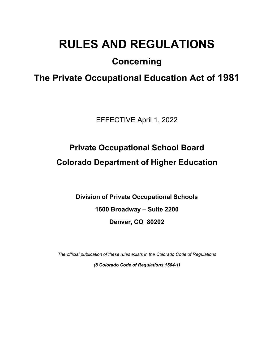# **RULES AND REGULATIONS**

## **Concerning**

## **The Private Occupational Education Act of 1981**

EFFECTIVE April 1, 2022

## **Private Occupational School Board Colorado Department of Higher Education**

**Division of Private Occupational Schools 1600 Broadway – Suite 2200 Denver, CO 80202**

*The official publication of these rules exists in the Colorado Code of Regulations*

*(8 Colorado Code of Regulations 1504-1)*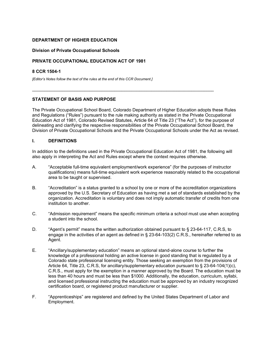#### **DEPARTMENT OF HIGHER EDUCATION**

#### **Division of Private Occupational Schools**

#### **PRIVATE OCCUPATIONAL EDUCATION ACT OF 1981**

#### **8 CCR 1504-1**

*[Editor's Notes follow the text of the rules at the end of this CCR Document.]*

#### **STATEMENT OF BASIS AND PURPOSE**

The Private Occupational School Board, Colorado Department of Higher Education adopts these Rules and Regulations ("Rules") pursuant to the rule making authority as stated in the Private Occupational Education Act of 1981, Colorado Revised Statutes, Article 64 of Title 23 ("The Act"), for the purpose of delineating and clarifying the respective responsibilities of the Private Occupational School Board, the Division of Private Occupational Schools and the Private Occupational Schools under the Act as revised.

\_\_\_\_\_\_\_\_\_\_\_\_\_\_\_\_\_\_\_\_\_\_\_\_\_\_\_\_\_\_\_\_\_\_\_\_\_\_\_\_\_\_\_\_\_\_\_\_\_\_\_\_\_\_\_\_\_\_\_\_\_\_\_\_\_\_\_\_\_\_\_\_\_

#### **I. DEFINITIONS**

In addition to the definitions used in the Private Occupational Education Act of 1981, the following will also apply in interpreting the Act and Rules except where the context requires otherwise.

- A. "Acceptable full-time equivalent employment/work experience" (for the purposes of instructor qualifications) means full-time equivalent work experience reasonably related to the occupational area to be taught or supervised.
- B. "Accreditation" is a status granted to a school by one or more of the accreditation organizations approved by the U.S. Secretary of Education as having met a set of standards established by the organization. Accreditation is voluntary and does not imply automatic transfer of credits from one institution to another.
- C. "Admission requirement" means the specific minimum criteria a school must use when accepting a student into the school.
- D. "Agent's permit" means the written authorization obtained pursuant to § 23-64-117, C.R.S, to engage in the activities of an agent as defined in § 23-64-103(2) C.R.S., hereinafter referred to as Agent.
- E. "Ancillary/supplementary education" means an optional stand-alone course to further the knowledge of a professional holding an active license in good standing that is regulated by a Colorado state professional licensing entity. Those seeking an exemption from the provisions of Article 64, Title 23, C.R.S, for ancillary/supplementary education pursuant to § 23-64-104(1)(c), C.R.S., must apply for the exemption in a manner approved by the Board. The education must be less than 40 hours and must be less than \$1000. Additionally, the education, curriculum, syllabi, and licensed professional instructing the education must be approved by an industry recognized certification board, or registered product manufacturer or supplier.
- F. "Apprenticeships" are registered and defined by the United States Department of Labor and Employment.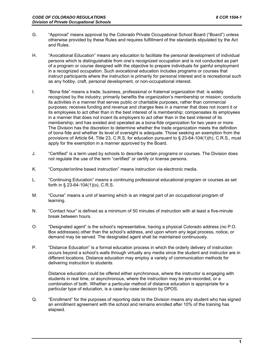- G. "Approval" means approval by the Colorado Private Occupational School Board ("Board") unless otherwise provided by these Rules and requires fulfillment of the standards stipulated by the Act and Rules.
- H. "Avocational Education" means any education to facilitate the personal development of individual persons which is distinguishable from one's recognized occupation and is not conducted as part of a program or course designed with the objective to prepare individuals for gainful employment in a recognized occupation. Such avocational education includes programs or courses that instruct participants where the instruction is primarily for personal interest and is recreational such as any hobby, craft, personal development, or non-occupational interest.
- I. "Bona fide" means a trade, business, professional or fraternal organization that: is widely recognized by the industry; primarily benefits the organization's membership or mission; conducts its activities in a manner that serves public or charitable purposes, rather than commercial purposes; receives funding and revenue and charges fees in a manner that does not incent it or its employees to act other than in the best interest of is membership; compensates its employees in a manner that does not incent its employers to act other than in the best interest of its membership; and has existed and operated as a bona-fide organization for two years or more. The Division has the discretion to determine whether the trade organization meets the definition of bona fide and whether its level of oversight is adequate. Those seeking an exemption from the provisions of Article 64, Title 23, C.R.S, for education pursuant to § 23-64-104(1)(h), C.R.S., must apply for the exemption in a manner approved by the Board.
- J. "Certified" is a term used by schools to describe certain programs or courses. The Division does not regulate the use of the term "certified" or certify or license persons.
- K. "Computer/online based instruction" means instruction via electronic media.
- L. "Continuing Education" means a continuing professional educational program or courses as set forth in § 23-64-104(1)(o), C.R.S.
- M. "Course" means a unit of learning which is an integral part of an occupational program of learning.
- N. "Contact hour" is defined as a minimum of 50 minutes of instruction with at least a five-minute break between hours.
- O. "Designated agent" is the school's representative, having a physical Colorado address (no P.O. Box addresses) other than the school's address, and upon whom any legal process, notice, or demand may be served. The designated agent shall be maintained continuously.
- P. "Distance Education" is a formal education process in which the orderly delivery of instruction occurs beyond a school's walls through virtually any media since the student and instructor are in different locations. Distance education may employ a variety of communication methods for delivering instruction to students.

Distance education could be offered either synchronous, where the instructor is engaging with students in real time, or asynchronous, where the instruction may be pre-recorded, or a combination of both. Whether a particular method of distance education is appropriate for a particular type of education, is a case-by-case decision by DPOS.

Q. "Enrollment" for the purposes of reporting data to the Division means any student who has signed an enrollment agreement with the school and remains enrolled after 10% of the training has elapsed.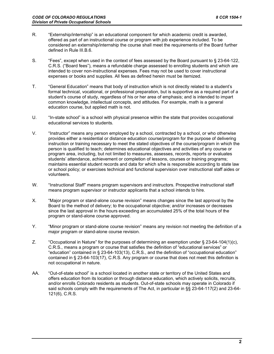- R. "Externship/internship" is an educational component for which academic credit is awarded, offered as part of an instructional course or program with job experience included. To be considered an externship/internship the course shall meet the requirements of the Board further defined in Rule III.B.6.
- S. "Fees", except when used in the context of fees assessed by the Board pursuant to § 23-64-122, C.R.S. ("Board fees"), means a refundable charge assessed to enrolling students and which are intended to cover non-instructional expenses. Fees may not be used to cover instructional expenses or books and supplies. All fees as defined herein must be itemized.
- T. "General Education" means that body of instruction which is not directly related to a student's formal technical, vocational, or professional preparation, but is supportive as a required part of a student's course of study, regardless of his or her area of emphasis; and is intended to impart common knowledge, intellectual concepts, and attitudes. For example, math is a general education course, but applied math is not.
- U. "In-state school" is a school with physical presence within the state that provides occupational educational services to students.
- V. "Instructor" means any person employed by a school, contracted by a school, or who otherwise provides either a residential or distance education course/program for the purpose of delivering instruction or training necessary to meet the stated objectives of the course/program in which the person is qualified to teach; determines educational objectives and activities of any course or program area, including, but not limited to measures, assesses, records, reports or evaluates students' attendance, achievement or completion of lessons, courses or training programs; maintains essential student records and data for which s/he is responsible according to state law or school policy; or exercises technical and functional supervision over instructional staff aides or volunteers.
- W. "Instructional Staff" means program supervisors and instructors. Prospective instructional staff means program supervisor or instructor applicants that a school intends to hire.
- X. "Major program or stand-alone course revision" means changes since the last approval by the Board to the method of delivery; to the occupational objective; and/or increases or decreases since the last approval in the hours exceeding an accumulated 25% of the total hours of the program or stand-alone course approved.
- Y. "Minor program or stand-alone course revision" means any revision not meeting the definition of a major program or stand-alone course revision.
- Z. "Occupational in Nature" for the purposes of determining an exemption under § 23-64-104(1)(c), C.R.S., means a program or course that satisfies the definition of "educational services" or "education" contained in § 23-64-103(13), C.R.S., and the definition of "occupational education" contained in § 23-64-103(17), C.R.S. Any program or course that does not meet this definition is not occupational in nature.
- AA. "Out-of-state school" is a school located in another state or territory of the United States and offers education from its location or through distance education, which actively solicits, recruits, and/or enrolls Colorado residents as students. Out-of-state schools may operate in Colorado if said schools comply with the requirements of The Act, in particular in §§ 23-64-117(2) and 23-64- 121(6), C.R.S.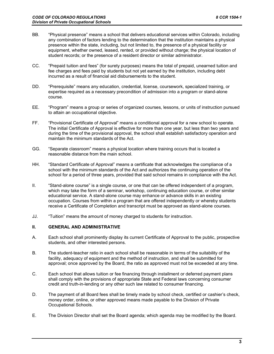- BB. "Physical presence" means a school that delivers educational services within Colorado, including any combination of factors lending to the determination that the institution maintains a physical presence within the state, including, but not limited to, the presence of a physical facility or equipment, whether owned, leased, rented, or provided without charge; the physical location of student records; or the presence of a resident director or similar administrator.
- CC. "Prepaid tuition and fees" (for surety purposes) means the total of prepaid, unearned tuition and fee charges and fees paid by students but not yet earned by the institution, including debt incurred as a result of financial aid disbursements to the student.
- DD. "Prerequisite" means any education, credential, license, coursework, specialized training, or expertise required as a necessary precondition of admission into a program or stand-alone course.
- EE. "Program" means a group or series of organized courses, lessons, or units of instruction pursued to attain an occupational objective.
- FF. "Provisional Certificate of Approval" means a conditional approval for a new school to operate. The initial Certificate of Approval is effective for more than one year, but less than two years and during the time of the provisional approval, the school shall establish satisfactory operation and maintain the minimum standards of the Act.
- GG. "Separate classroom" means a physical location where training occurs that is located a reasonable distance from the main school.
- HH. "Standard Certificate of Approval" means a certificate that acknowledges the compliance of a school with the minimum standards of the Act and authorizes the continuing operation of the school for a period of three years, provided that said school remains in compliance with the Act.
- II. "Stand-alone course" is a single course, or one that can be offered independent of a program, which may take the form of a seminar, workshop, continuing education course, or other similar educational service. A stand-alone course may enhance or advance skills in an existing occupation. Courses from within a program that are offered independently or whereby students receive a Certificate of Completion and transcript must be approved as stand-alone courses.
- JJ. "Tuition" means the amount of money charged to students for instruction.

#### **II. GENERAL AND ADMINISTRATIVE**

- A. Each school shall prominently display its current Certificate of Approval to the public, prospective students, and other interested persons.
- B. The student-teacher ratio in each school shall be reasonable in terms of the suitability of the facility, adequacy of equipment and the method of instruction, and shall be submitted for approval; once approved by the Board, the ratio as approved must not be exceeded at any time.
- C. Each school that allows tuition or fee financing through installment or deferred payment plans shall comply with the provisions of appropriate State and Federal laws concerning consumer credit and truth-in-lending or any other such law related to consumer financing.
- D. The payment of all Board fees shall be timely made by school check, certified or cashier's check, money order, online, or other approved means made payable to the Division of Private Occupational Schools.
- E. The Division Director shall set the Board agenda; which agenda may be modified by the Board.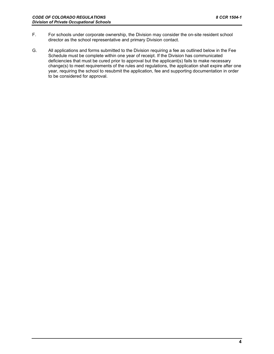- F. For schools under corporate ownership, the Division may consider the on-site resident school director as the school representative and primary Division contact.
- G. All applications and forms submitted to the Division requiring a fee as outlined below in the Fee Schedule must be complete within one year of receipt. If the Division has communicated deficiencies that must be cured prior to approval but the applicant(s) fails to make necessary change(s) to meet requirements of the rules and regulations, the application shall expire after one year, requiring the school to resubmit the application, fee and supporting documentation in order to be considered for approval.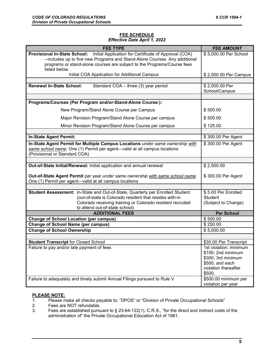#### **FEE SCHEDULE** *Effective Date April 1, 2022*

| <b>FEE TYPE</b>                                                                                                                                                                                                                                              | <b>FEE AMOUNT</b>                       |
|--------------------------------------------------------------------------------------------------------------------------------------------------------------------------------------------------------------------------------------------------------------|-----------------------------------------|
| Provisional In-State School: Initial Application for Certificate of Approval (COA)<br>--includes up to five new Programs and Stand-Alone Courses. Any additional<br>programs or stand-alone courses are subject to the Programs/Course fees<br>listed below. | \$5,000.00 Per School                   |
| Initial COA Application for Additional Campus                                                                                                                                                                                                                | \$2,500.00 Per Campus                   |
|                                                                                                                                                                                                                                                              |                                         |
| <b>Renewal In-State School:</b><br>Standard COA - three (3) year period                                                                                                                                                                                      | \$2,000.00 Per<br>School/Campus         |
| Programs/Courses (Per Program and/or-Stand-Alone Course:):                                                                                                                                                                                                   |                                         |
|                                                                                                                                                                                                                                                              |                                         |
| New Program/Stand Alone Course per Campus                                                                                                                                                                                                                    | \$500.00                                |
| Major Revision Program/Stand Alone Course per campus                                                                                                                                                                                                         | \$500.00                                |
| Minor Revision Program/Stand Alone Course per campus                                                                                                                                                                                                         | \$125.00                                |
|                                                                                                                                                                                                                                                              |                                         |
| <b>In-State Agent Permit:</b>                                                                                                                                                                                                                                | \$300.00 Per Agent                      |
| In-State Agent Permit for Multiple Campus Locations under same ownership with<br>same school name: One (1) Permit per agent-valid at all campus locations<br>(Provisional or Standard COA)                                                                   | \$300.00 Per Agent                      |
|                                                                                                                                                                                                                                                              |                                         |
| Out-of-State Initial/Renewal: Initial application and annual renewal                                                                                                                                                                                         | \$2,500.00                              |
| Out-of-State Agent Permit per year under same ownership with same school name:<br>One (1) Permit per agent-valid at all campus locations                                                                                                                     | \$300.00 Per Agent                      |
|                                                                                                                                                                                                                                                              |                                         |
| Student Assessment: In-State and Out-of-State, Quarterly per Enrolled Student                                                                                                                                                                                | \$5.00 Per Enrolled                     |
| (out-of-state is Colorado resident that resides with-in<br>Colorado receiving training or Colorado resident recruited                                                                                                                                        | <b>Student</b><br>(Subject to Change)   |
| to attend out-of-state school)                                                                                                                                                                                                                               |                                         |
| <b>ADDITIONAL FEES</b>                                                                                                                                                                                                                                       | <b>Per School</b>                       |
| <b>Change of School Location (per campus)</b>                                                                                                                                                                                                                | \$500.00                                |
| <b>Change of School Name (per campus)</b>                                                                                                                                                                                                                    | \$250.00                                |
| <b>Change of School Ownership</b>                                                                                                                                                                                                                            | \$5,000.00                              |
| <b>Student Transcript for Closed School</b>                                                                                                                                                                                                                  | \$30.00 Per Transcript                  |
| Failure to pay and/or late payment of fees                                                                                                                                                                                                                   | 1st violation: minimum                  |
|                                                                                                                                                                                                                                                              | \$100; 2nd minimum                      |
|                                                                                                                                                                                                                                                              | \$300; 3rd minimum                      |
|                                                                                                                                                                                                                                                              | \$500, and each<br>violation thereafter |
|                                                                                                                                                                                                                                                              | \$500.                                  |
| Failure to adequately and timely submit Annual Filings pursuant to Rule V                                                                                                                                                                                    | \$500.00 minimum per                    |
|                                                                                                                                                                                                                                                              | violation per year                      |

### **PLEASE NOTE:**<br>1. Please m

- Please make all checks payable to: "DPOS" or "Division of Private Occupational Schools"
- 2. Fees are NOT refundable.<br>3. Fees are established pursu
- Fees are established pursuant to § 23-64-122(1), C.R.S., "for the direct and indirect costs of the administration of" the Private Occupational Education Act of 1981.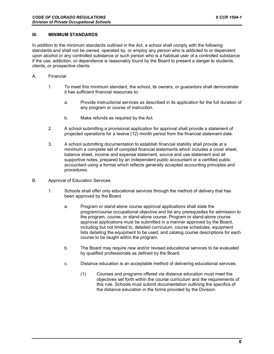#### **III. MINIMUM STANDARDS**

In addition to the minimum standards outlined in the Act, a school shall comply with the following standards and shall not be owned, operated by, or employ any person who is addicted to or dependent upon alcohol or any controlled substance or such person who is a habitual user of a controlled substance if the use, addiction, or dependence is reasonably found by the Board to present a danger to students, clients, or prospective clients.

- A. Financial
	- 1. To meet this minimum standard, the school, its owners, or guarantors shall demonstrate it has sufficient financial resources to:
		- a. Provide instructional services as described in its application for the full duration of any program or course of instruction.
		- b. Make refunds as required by the Act.
	- 2. A school submitting a provisional application for approval shall provide a statement of projected operations for a twelve (12) month period from the financial statement date.
	- 3. A school submitting documentation to establish financial stability shall provide at a minimum a complete set of compiled financial statements which includes a cover sheet, balance sheet, income and expense statement, source and use statement and all supportive notes, prepared by an independent public accountant or a certified public accountant using a format which reflects generally accepted accounting principles and procedures.
- B. Approval of Education Services
	- 1. Schools shall offer only educational services through the method of delivery that has been approved by the Board.
		- a. Program or stand-alone course approval applications shall state the program/course occupational objective and list any prerequisites for admission to the program, course, or stand-alone course. Program or stand-alone course approval applications must be submitted in a manner approved by the Board, including but not limited to, detailed curriculum, course schedules, equipment lists detailing the equipment to be used, and catalog course descriptions for each course to be taught within the program.
		- b. The Board may require new and/or revised educational services to be evaluated by qualified professionals as defined by the Board.
		- c. Distance education is an acceptable method of delivering educational services.
			- (1) Courses and programs offered via distance education must meet the objectives set forth within the course curriculum and the requirements of this rule. Schools must submit documentation outlining the specifics of the distance education in the forms provided by the Division.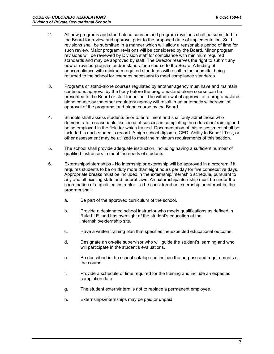- 2. All new programs and stand-alone courses and program revisions shall be submitted to the Board for review and approval prior to the proposed date of implementation. Said revisions shall be submitted in a manner which will allow a reasonable period of time for such review. Major program revisions will be considered by the Board. Minor program revisions will be reviewed by Division staff for compliance with minimum required standards and may be approved by staff. The Director reserves the right to submit any new or revised program and/or stand-alone course to the Board. A finding of noncompliance with minimum required standards will result in the submittal being returned to the school for changes necessary to meet compliance standards.
- 3. Programs or stand-alone courses regulated by another agency must have and maintain continuous approval by the body before the program/stand-alone course can be presented to the Board or staff for action. The withdrawal of approval of a program/standalone course by the other regulatory agency will result in an automatic withdrawal of approval of the program/stand-alone course by the Board.
- 4. Schools shall assess students prior to enrollment and shall only admit those who demonstrate a reasonable likelihood of success in completing the education/training and being employed in the field for which trained. Documentation of this assessment shall be included in each student's record. A high school diploma, GED, Ability to Benefit Test, or other assessment may be utilized to meet the minimum requirements of this section.
- 5. The school shall provide adequate instruction, including having a sufficient number of qualified instructors to meet the needs of students.
- 6. Externships/Internships No internship or externship will be approved in a program if it requires students to be on duty more than eight hours per day for five consecutive days. Appropriate breaks must be included in the externship/internship schedule, pursuant to any and all existing state and federal laws. An externship/internship must be under the coordination of a qualified instructor. To be considered an externship or internship, the program shall:
	- a. Be part of the approved curriculum of the school.
	- b. Provide a designated school instructor who meets qualifications as defined in Rule III.E. and has oversight of the student's education at the internship/externship site.
	- c. Have a written training plan that specifies the expected educational outcome.
	- d. Designate an on-site supervisor who will guide the student's learning and who will participate in the student's evaluations.
	- e. Be described in the school catalog and include the purpose and requirements of the course.
	- f. Provide a schedule of time required for the training and include an expected completion date.
	- g. The student extern/intern is not to replace a permanent employee.
	- h. Externships/internships may be paid or unpaid.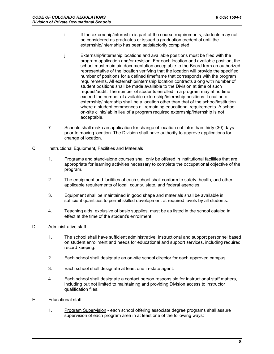- i. If the externship/internship is part of the course requirements, students may not be considered as graduates or issued a graduation credential until the externship/internship has been satisfactorily completed.
- j. Externship/internship locations and available positions must be filed with the program application and/or revision. For each location and available position, the school must maintain documentation acceptable to the Board from an authorized representative of the location verifying that the location will provide the specified number of positions for a defined timeframe that corresponds with the program requirements. All externship/internship location contracts along with number of student positions shall be made available to the Division at time of such request/audit. The number of students enrolled in a program may at no time exceed the number of available externship/internship positions. Location of externship/internship shall be a location other than that of the school/institution where a student commences all remaining educational requirements. A school on-site clinic/lab in lieu of a program required externship/internship is not acceptable.
- 7. Schools shall make an application for change of location not later than thirty (30) days prior to moving location. The Division shall have authority to approve applications for change of location.
- C. Instructional Equipment, Facilities and Materials
	- 1. Programs and stand-alone courses shall only be offered in institutional facilities that are appropriate for learning activities necessary to complete the occupational objective of the program.
	- 2. The equipment and facilities of each school shall conform to safety, health, and other applicable requirements of local, county, state, and federal agencies.
	- 3. Equipment shall be maintained in good shape and materials shall be available in sufficient quantities to permit skilled development at required levels by all students.
	- 4. Teaching aids, exclusive of basic supplies, must be as listed in the school catalog in effect at the time of the student's enrollment.
- D. Administrative staff
	- 1. The school shall have sufficient administrative, instructional and support personnel based on student enrollment and needs for educational and support services, including required record keeping.
	- 2. Each school shall designate an on-site school director for each approved campus.
	- 3. Each school shall designate at least one in-state agent.
	- 4. Each school shall designate a contact person responsible for instructional staff matters, including but not limited to maintaining and providing Division access to instructor qualification files.
- E. Educational staff
	- 1. Program Supervision each school offering associate degree programs shall assure supervision of each program area in at least one of the following ways: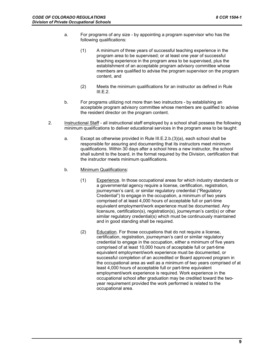- a. For programs of any size by appointing a program supervisor who has the following qualifications:
	- (1) A minimum of three years of successful teaching experience in the program area to be supervised; or at least one year of successful teaching experience in the program area to be supervised, plus the establishment of an acceptable program advisory committee whose members are qualified to advise the program supervisor on the program content, and
	- (2) Meets the minimum qualifications for an instructor as defined in Rule III.E.2.
- b. For programs utilizing not more than two instructors by establishing an acceptable program advisory committee whose members are qualified to advise the resident director on the program content.
- 2. Instructional Staff all instructional staff employed by a school shall possess the following minimum qualifications to deliver educational services in the program area to be taught:
	- a. Except as otherwise provided in Rule III.E.2.b.(3)(a), each school shall be responsible for assuring and documenting that its instructors meet minimum qualifications. Within 30 days after a school hires a new instructor, the school shall submit to the board, in the format required by the Division, certification that the instructor meets minimum qualifications.
	- b. Minimum Qualifications:
		- (1) Experience. In those occupational areas for which industry standards or a governmental agency require a license, certification, registration, journeyman's card, or similar regulatory credential ("Regulatory Credential") to engage in the occupation, a minimum of two years comprised of at least 4,000 hours of acceptable full or part-time equivalent employment/work experience must be documented. Any licensure, certification(s), registration(s), journeyman's card(s) or other similar regulatory credential(s) which must be continuously maintained and in good standing shall be required.
		- (2) Education. For those occupations that do not require a license, certification, registration, journeyman's card or similar regulatory credential to engage in the occupation, either a minimum of five years comprised of at least 10,000 hours of acceptable full or part-time equivalent employment/work experience must be documented, or successful completion of an accredited or Board approved program in the occupational area as well as a minimum of two years comprised of at least 4,000 hours of acceptable full or part-time equivalent employment/work experience is required. Work experience in the occupational school after graduation may be credited toward the twoyear requirement provided the work performed is related to the occupational area.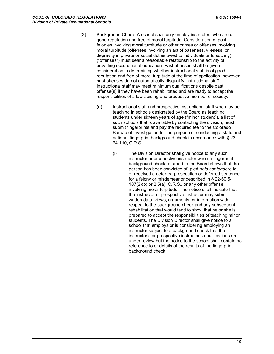- (3) Background Check. A school shall only employ instructors who are of good reputation and free of moral turpitude. Consideration of past felonies involving moral turpitude or other crimes or offenses involving moral turpitude (offenses involving an act of baseness, vileness, or depravity in private or social duties owed to individuals or to society) ("offenses") must bear a reasonable relationship to the activity of providing occupational education. Past offenses shall be given consideration in determining whether instructional staff is of good reputation and free of moral turpitude at the time of application, however, past offenses do not automatically disqualify instructional staff. Instructional staff may meet minimum qualifications despite past offense(s) if they have been rehabilitated and are ready to accept the responsibilities of a law-abiding and productive member of society.
	- (a) Instructional staff and prospective instructional staff who may be teaching in schools designated by the Board as teaching students under sixteen years of age ("minor student"), a list of such schools that is available by contacting the division, must submit fingerprints and pay the required fee to the Colorado Bureau of Investigation for the purpose of conducting a state and national fingerprint background check in accordance with § 23- 64-110, C.R.S.
		- (i) The Division Director shall give notice to any such instructor or prospective instructor when a fingerprint background check returned to the Board shows that the person has been convicted of, pled *nolo contendere* to, or received a deferred prosecution or deferred sentence for a felony or misdemeanor described in § 22-60.5- 107(2)(b) or 2.5(a), C.R.S., or any other offense involving moral turpitude. The notice shall indicate that the instructor or prospective instructor may submit written data, views, arguments, or information with respect to the background check and any subsequent rehabilitation that would tend to show that he or she is prepared to accept the responsibilities of teaching minor students. The Division Director shall give notice to a school that employs or is considering employing an instructor subject to a background check that the instructor's or prospective instructor's qualifications are under review but the notice to the school shall contain no reference to or details of the results of the fingerprint background check.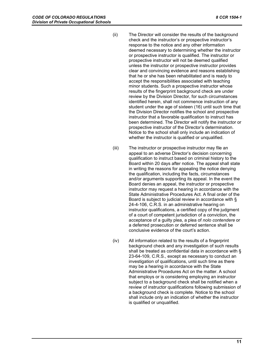- (ii) The Director will consider the results of the background check and the instructor's or prospective instructor's response to the notice and any other information deemed necessary to determining whether the instructor or prospective instructor is qualified. The instructor or prospective instructor will not be deemed qualified unless the instructor or prospective instructor provides clear and convincing evidence and reasons establishing that he or she has been rehabilitated and is ready to accept the responsibilities associated with teaching minor students. Such a prospective instructor whose results of the fingerprint background check are under review by the Division Director, for such circumstances identified herein, shall not commence instruction of any student under the age of sixteen (16) until such time that the Division Director notifies the school and prospective instructor that a favorable qualification to instruct has been determined. The Director will notify the instructor or prospective instructor of the Director's determination. Notice to the school shall only include an indication of whether the instructor is qualified or unqualified.
- (iii) The instructor or prospective instructor may file an appeal to an adverse Director's decision concerning qualification to instruct based on criminal history to the Board within 20 days after notice. The appeal shall state in writing the reasons for appealing the notice denying the qualification, including the facts, circumstances and/or arguments supporting its appeal. In the event the Board denies an appeal, the instructor or prospective instructor may request a hearing in accordance with the State Administrative Procedures Act. A final order of the Board is subject to judicial review in accordance with § 24-4-106, C.R.S. in an administrative hearing on instructor qualifications, a certified copy of the judgment of a court of competent jurisdiction of a conviction, the acceptance of a guilty plea, a plea of *nolo contendere* or a deferred prosecution or deferred sentence shall be conclusive evidence of the court's action.
- (iv) All information related to the results of a fingerprint background check and any investigation of such results shall be treated as confidential data in accordance with § 23-64-109, C.R.S., except as necessary to conduct an investigation of qualifications, until such time as there may be a hearing in accordance with the State Administrative Procedures Act on the matter. A school that employs or is considering employing an instructor subject to a background check shall be notified when a review of instructor qualifications following submission of a background check is complete. Notice to the school shall include only an indication of whether the instructor is qualified or unqualified.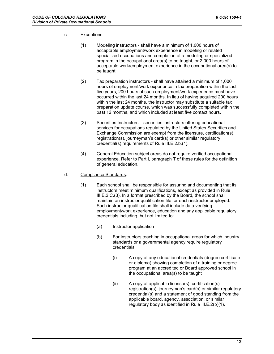#### c. Exceptions.

- (1) Modeling instructors shall have a minimum of 1,000 hours of acceptable employment/work experience in modeling or related specialized occupations and completion of a modeling or specialized program in the occupational area(s) to be taught, or 2,000 hours of acceptable work/employment experience in the occupational area(s) to be taught.
- (2) Tax preparation instructors shall have attained a minimum of 1,000 hours of employment/work experience in tax preparation within the last five years, 200 hours of such employment/work experience must have occurred within the last 24 months. In lieu of having acquired 200 hours within the last 24 months, the instructor may substitute a suitable tax preparation update course, which was successfully completed within the past 12 months, and which included at least five contact hours.
- (3) Securities Instructors securities instructors offering educational services for occupations regulated by the United States Securities and Exchange Commission are exempt from the licensure, certification(s), registration(s), journeyman's card(s) or other similar regulatory credential(s) requirements of Rule III.E.2.b.(1).
- (4) General Education subject areas do not require verified occupational experience. Refer to Part I, paragraph T of these rules for the definition of general education.

#### d. Compliance Standards.

- (1) Each school shall be responsible for assuring and documenting that its instructors meet minimum qualifications, except as provided in Rule III.E.2.C.(3). In a format prescribed by the Board, the school shall maintain an instructor qualification file for each instructor employed. Such instructor qualification file shall include data verifying employment/work experience, education and any applicable regulatory credentials including, but not limited to:
	- (a) Instructor application
	- (b) For instructors teaching in occupational areas for which industry standards or a governmental agency require regulatory credentials:
		- (i) A copy of any educational credentials (degree certificate or diploma) showing completion of a training or degree program at an accredited or Board approved school in the occupational area(s) to be taught
		- (ii) A copy of applicable license(s), certification(s), registration(s), journeyman's card(s) or similar regulatory credential(s) and a statement of good standing from the applicable board, agency, association, or similar regulatory body as identified in Rule III.E.2(b)(1).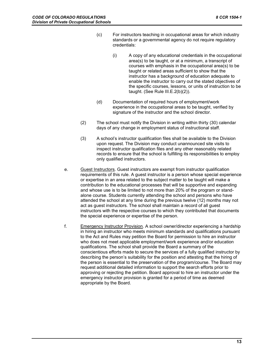- (c) For instructors teaching in occupational areas for which industry standards or a governmental agency do not require regulatory credentials:
	- (i) A copy of any educational credentials in the occupational area(s) to be taught, or at a minimum, a transcript of courses with emphasis in the occupational area(s) to be taught or related areas sufficient to show that the instructor has a background of education adequate to enable the instructor to carry out the stated objectives of the specific courses, lessons, or units of instruction to be taught. (See Rule III.E.2(b)(2)).
- (d) Documentation of required hours of employment/work experience in the occupational areas to be taught, verified by signature of the instructor and the school director.
- (2) The school must notify the Division in writing within thirty (30) calendar days of any change in employment status of instructional staff.
- (3) A school's instructor qualification files shall be available to the Division upon request. The Division may conduct unannounced site visits to inspect instructor qualification files and any other reasonably related records to ensure that the school is fulfilling its responsibilities to employ only qualified instructors.
- e. Guest Instructors. Guest instructors are exempt from instructor qualification requirements of this rule. A guest instructor is a person whose special experience or expertise in an area related to the subject matter to be taught will make a contribution to the educational processes that will be supportive and expanding and whose use is to be limited to not more than 20% of the program or standalone course. Students currently attending the school and persons who have attended the school at any time during the previous twelve (12) months may not act as guest instructors. The school shall maintain a record of all guest instructors with the respective courses to which they contributed that documents the special experience or expertise of the person.
- f. Emergency Instructor Provision. A school owner/director experiencing a hardship in hiring an instructor who meets minimum standards and qualifications pursuant to the Act and Rules may petition the Board for permission to hire an instructor who does not meet applicable employment/work experience and/or education qualifications. The school shall provide the Board a summary of the conscientious efforts made to secure the services of a fully qualified instructor by describing the person's suitability for the position and attesting that the hiring of the person is essential to the preservation of the program/course. The Board may request additional detailed information to support the search efforts prior to approving or rejecting the petition. Board approval to hire an instructor under the emergency instructor provision is granted for a period of time as deemed appropriate by the Board.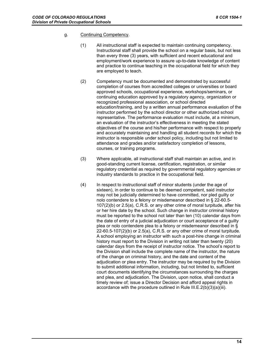#### g. Continuing Competency.

- (1) All instructional staff is expected to maintain continuing competency. Instructional staff shall provide the school on a regular basis, but not less than every three (3) years, with sufficient and recent educational and employment/work experience to assure up-to-date knowledge of content and practice to continue teaching in the occupational field for which they are employed to teach.
- (2) Competency must be documented and demonstrated by successful completion of courses from accredited colleges or universities or board approved schools, occupational experience, workshops/seminars, or continuing education approved by a regulatory agency, organization or recognized professional association, or school directed education/training, and by a written annual performance evaluation of the instructor performed by the school director or other authorized school representative. The performance evaluation must include, at a minimum, an evaluation of the instructor's effectiveness in meeting the stated objectives of the course and his/her performance with respect to properly and accurately maintaining and handling all student records for which the instructor is responsible under school policy, including but not limited to attendance and grades and/or satisfactory completion of lessons, courses, or training programs.
- (3) Where applicable, all instructional staff shall maintain an active, and in good-standing current license, certification, registration, or similar regulatory credential as required by governmental regulatory agencies or industry standards to practice in the occupational field.
- (4) In respect to instructional staff of minor students (under the age of sixteen), in order to continue to be deemed competent, said instructor may not be judicially determined to have committed, nor pled guilty or nolo contendere to a felony or misdemeanor described in § 22-60.5- 107(2)(b) or 2.5(a), C.R.S. or any other crime of moral turpitude, after his or her hire date by the school. Such change in instructor criminal history must be reported to the school not later than ten (10) calendar days from the date of entry of a judicial adjudication or court acceptance of a guilty plea or nolo contendere plea to a felony or misdemeanor described in §  $22-60.5-107(2)(b)$  or  $2.5(a)$ , C.R.S. or any other crime of moral turpitude. A school employing an instructor with such a post-hire change in criminal history must report to the Division in writing not later than twenty (20) calendar days from the receipt of instructor notice. The school's report to the Division shall include the complete name of the instructor, the nature of the change on criminal history, and the date and content of the adjudication or plea entry. The instructor may be required by the Division to submit additional information, including, but not limited to, sufficient court documents identifying the circumstances surrounding the charges and plea, and adjudication. The Division, upon notice, shall conduct a timely review of; issue a Director Decision and afford appeal rights in accordance with the procedure outlined in Rule III.E.2(b)(3)(a)(iii).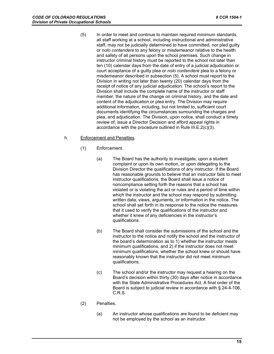(5) In order to meet and continue to maintain required minimum standards, all staff working at a school, including instructional and administrative staff, may not be judicially determined to have committed, nor pled guilty or *nolo contendere* to any felony or misdemeanor relative to the health and safety of all persons upon the school premises. Such change in instructor criminal history must be reported to the school not later than ten (10) calendar days from the date of entry of a judicial adjudication or court acceptance of a guilty plea or *nolo contendere* plea to a felony or misdemeanor described in subsection (5). A school must report to the Division in writing not later than twenty (20) calendar days from the receipt of notice of any judicial adjudication. The school's report to the Division shall include the complete name of the instructor or staff member, the nature of the change on criminal history, and the date and content of the adjudication or plea entry. The Division may require additional information, including, but not limited to, sufficient court documents identifying the circumstances surrounding the charges and plea, and adjudication. The Division, upon notice, shall conduct a timely review of; issue a Director Decision and afford appeal rights in accordance with the procedure outlined in Rule III.E.2(c)(3).

#### h. Enforcement and Penalties.

- (1) Enforcement.
	- (a) The Board has the authority to investigate, upon a student complaint or upon its own motion, or upon delegating to the Division Director the qualifications of any instructor. If the Board has reasonable grounds to believe that an instructor fails to meet instructor qualifications, the Board shall issue a notice of noncompliance setting forth the reasons that a school has violated or is violating the act or rules and a period of time within which the instructor and the school may respond by submitting written data, views, arguments, or information in the notice. The school shall set forth in its response to the notice the measures that it used to verify the qualifications of the instructor and whether it knew of any deficiencies in the instructor's qualifications.
	- (b) The Board shall consider the submissions of the school and the instructor to the notice and notify the school and the instructor of the board's determination as to 1) whether the instructor meets minimum qualifications, and 2) if the instructor does not meet minimum qualifications, whether the school knew or should have reasonably known that the instructor did not meet minimum qualifications.
	- (c) The school and/or the instructor may request a hearing on the Board's decision within thirty (30) days after notice in accordance with the State Administrative Procedures Act. A final order of the Board is subject to judicial review in accordance with § 24-4-106, C.R.S.
- (2) Penalties.
	- (a) An instructor whose qualifications are found to be deficient may not be employed by the school as an instructor.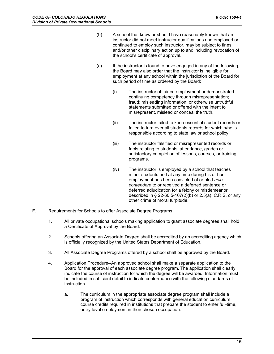- (b) A school that knew or should have reasonably known that an instructor did not meet instructor qualifications and employed or continued to employ such instructor, may be subject to fines and/or other disciplinary action up to and including revocation of the school's certificate of approval.
- (c) If the instructor is found to have engaged in any of the following, the Board may also order that the instructor is ineligible for employment at any school within the jurisdiction of the Board for such period of time as ordered by the Board:
	- (i) The instructor obtained employment or demonstrated continuing competency through misrepresentation; fraud; misleading information; or otherwise untruthful statements submitted or offered with the intent to misrepresent, mislead or conceal the truth.
	- (ii) The instructor failed to keep essential student records or failed to turn over all students records for which s/he is responsible according to state law or school policy.
	- (iii) The instructor falsified or misrepresented records or facts relating to students' attendance, grades or satisfactory completion of lessons, courses, or training programs.
	- (iv) The instructor is employed by a school that teaches minor students and at any time during his or her employment has been convicted of or pled *nolo contendere* to or received a deferred sentence or deferred adjudication for a felony or misdemeanor described in § 22-60.5-107(2)(b) or 2.5(a), C.R.S. or any other crime of moral turpitude.
- F. Requirements for Schools to offer Associate Degree Programs
	- 1. All private occupational schools making application to grant associate degrees shall hold a Certificate of Approval by the Board.
	- 2. Schools offering an Associate Degree shall be accredited by an accrediting agency which is officially recognized by the United States Department of Education.
	- 3. All Associate Degree Programs offered by a school shall be approved by the Board.
	- 4. Application Procedure--An approved school shall make a separate application to the Board for the approval of each associate degree program. The application shall clearly indicate the course of instruction for which the degree will be awarded. Information must be included in sufficient detail to indicate conformance with the following standards of instruction.
		- a. The curriculum in the appropriate associate degree program shall include a program of instruction which corresponds with general education curriculum course credits required in institutions that prepare the student to enter full-time, entry level employment in their chosen occupation.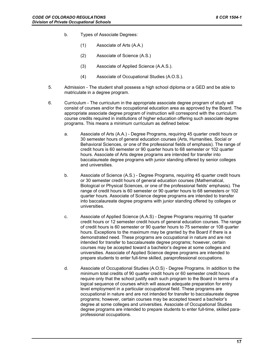- b. Types of Associate Degrees:
	- (1) Associate of Arts (A.A.)
	- (2) Associate of Science (A.S.)
	- (3) Associate of Applied Science (A.A.S.).
	- (4) Associate of Occupational Studies (A.O.S.).
- 5. Admission The student shall possess a high school diploma or a GED and be able to matriculate in a degree program.
- 6. Curriculum The curriculum in the appropriate associate degree program of study will consist of courses and/or the occupational education area as approved by the Board. The appropriate associate degree program of instruction will correspond with the curriculum course credits required in institutions of higher education offering such associate degree programs. This means a minimum curriculum as defined below:
	- a. Associate of Arts (A.A.) Degree Programs, requiring 45 quarter credit hours or 30 semester hours of general education courses (Arts, Humanities, Social or Behavioral Sciences, or one of the professional fields of emphasis). The range of credit hours is 60 semester or 90 quarter hours to 68 semester or 102 quarter hours. Associate of Arts degree programs are intended for transfer into baccalaureate degree programs with junior standing offered by senior colleges and universities.
	- b. Associate of Science (A.S.) Degree Programs, requiring 45 quarter credit hours or 30 semester credit hours of general education courses (Mathematical, Biological or Physical Sciences, or one of the professional fields' emphasis). The range of credit hours is 60 semester or 90 quarter hours to 68 semesters or 102 quarter hours. Associate of Science degree programs are intended to transfer into baccalaureate degree programs with junior standing offered by colleges or universities.
	- c. Associate of Applied Science (A.A.S) Degree Programs requiring 18 quarter credit hours or 12 semester credit hours of general education courses. The range of credit hours is 60 semester or 90 quarter hours to 75 semester or 108 quarter hours. Exceptions to the maximum may be granted by the Board if there is a demonstrated need. These programs are occupational in nature and are not intended for transfer to baccalaureate degree programs; however, certain courses may be accepted toward a bachelor's degree at some colleges and universities. Associate of Applied Science degree programs are intended to prepare students to enter full-time skilled, paraprofessional occupations.
	- d. Associate of Occupational Studies (A.O.S) Degree Programs. In addition to the minimum total credits of 90 quarter credit hours or 60 semester credit hours require only that the school justify each such program to the Board in terms of a logical sequence of courses which will assure adequate preparation for entry level employment in a particular occupational field. These programs are occupational in nature and are not intended for transfer to baccalaureate degree programs; however, certain courses may be accepted toward a bachelor's degree at some colleges and universities. Associate of Occupational Studies degree programs are intended to prepare students to enter full-time, skilled paraprofessional occupations.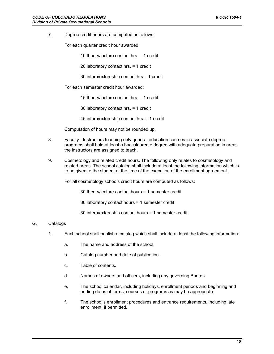7. Degree credit hours are computed as follows:

For each quarter credit hour awarded:

10 theory/lecture contact hrs. = 1 credit

20 laboratory contact hrs. = 1 credit

30 intern/externship contact hrs. =1 credit

For each semester credit hour awarded:

15 theory/lecture contact hrs. = 1 credit

30 laboratory contact hrs. = 1 credit

45 intern/externship contact hrs. = 1 credit

Computation of hours may not be rounded up.

- 8. Faculty Instructors teaching only general education courses in associate degree programs shall hold at least a baccalaureate degree with adequate preparation in areas the instructors are assigned to teach.
- 9. Cosmetology and related credit hours. The following only relates to cosmetology and related areas. The school catalog shall include at least the following information which is to be given to the student at the time of the execution of the enrollment agreement.

For all cosmetology schools credit hours are computed as follows:

30 theory/lecture contact hours = 1 semester credit

30 laboratory contact hours = 1 semester credit

30 intern/externship contact hours = 1 semester credit

#### G. Catalogs

- 1. Each school shall publish a catalog which shall include at least the following information:
	- a. The name and address of the school.
	- b. Catalog number and date of publication.
	- c. Table of contents.
	- d. Names of owners and officers, including any governing Boards.
	- e. The school calendar, including holidays, enrollment periods and beginning and ending dates of terms, courses or programs as may be appropriate.
	- f. The school's enrollment procedures and entrance requirements, including late enrollment, if permitted.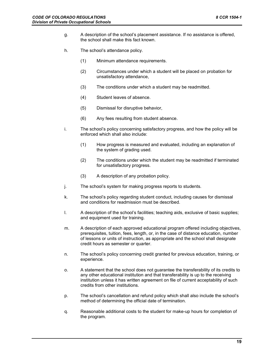- g. A description of the school's placement assistance. If no assistance is offered, the school shall make this fact known.
- h. The school's attendance policy.
	- (1) Minimum attendance requirements.
	- (2) Circumstances under which a student will be placed on probation for unsatisfactory attendance,
	- (3) The conditions under which a student may be readmitted.
	- (4) Student leaves of absence.
	- (5) Dismissal for disruptive behavior,
	- (6) Any fees resulting from student absence.
- i. The school's policy concerning satisfactory progress, and how the policy will be enforced which shall also include:
	- (1) How progress is measured and evaluated, including an explanation of the system of grading used.
	- (2) The conditions under which the student may be readmitted if terminated for unsatisfactory progress.
	- (3) A description of any probation policy.
- j. The school's system for making progress reports to students.
- k. The school's policy regarding student conduct, including causes for dismissal and conditions for readmission must be described.
- l. A description of the school's facilities; teaching aids, exclusive of basic supplies; and equipment used for training.
- m. A description of each approved educational program offered including objectives, prerequisites, tuition, fees, length, or, in the case of distance education, number of lessons or units of instruction, as appropriate and the school shall designate credit hours as semester or quarter.
- n. The school's policy concerning credit granted for previous education, training, or experience.
- o. A statement that the school does not guarantee the transferability of its credits to any other educational institution and that transferability is up to the receiving institution unless it has written agreement on file of current acceptability of such credits from other institutions.
- p. The school's cancellation and refund policy which shall also include the school's method of determining the official date of termination.
- q. Reasonable additional costs to the student for make-up hours for completion of the program.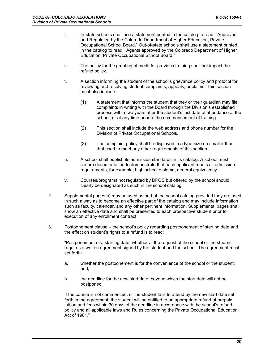- r. In-state schools shall use a statement printed in the catalog to read, "Approved and Regulated by the Colorado Department of Higher Education, Private Occupational School Board." Out-of-state schools shall use a statement printed in the catalog to read, "Agents approved by the Colorado Department of Higher Education, Private Occupational School Board."
- s. The policy for the granting of credit for previous training shall not impact the refund policy.
- t. A section informing the student of the school's grievance policy and protocol for reviewing and resolving student complaints, appeals, or claims. This section must also include:
	- (1) A statement that informs the student that they or their guardian may file complaints in writing with the Board through the Division's established process within two years after the student's last date of attendance at the school, or at any time prior to the commencement of training.
	- (2) This section shall include the web address and phone number for the Division of Private Occupational Schools.
	- (3) The complaint policy shall be displayed in a type-size no smaller than that used to meet any other requirements of this section.
- u. A school shall publish its admission standards in its catalog. A school must secure documentation to demonstrate that each applicant meets all admission requirements, for example, high school diploma, general equivalency.
- v. Courses/programs not regulated by DPOS but offered by the school should clearly be designated as such in the school catalog.
- 2. Supplemental pages(s) may be used as part of the school catalog provided they are used in such a way as to become an effective part of the catalog and may include information such as faculty, calendar, and any other pertinent information. Supplemental pages shall show an effective date and shall be presented to each prospective student prior to execution of any enrollment contract.
- 3. Postponement clause the school's policy regarding postponement of starting date and the effect on student's rights to a refund is to read:

"Postponement of a starting date, whether at the request of the school or the student, requires a written agreement signed by the student and the school. The agreement must set forth:

- a. whether the postponement is for the convenience of the school or the student; and,
- b. the deadline for the new start date, beyond which the start date will not be postponed.

If the course is not commenced, or the student fails to attend by the new start date set forth in the agreement, the student will be entitled to an appropriate refund of prepaid tuition and fees within 30 days of the deadline in accordance with the school's refund policy and all applicable laws and Rules concerning the Private Occupational Education Act of 1981."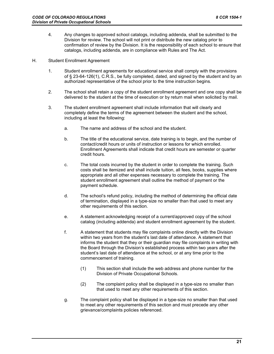- 4. Any changes to approved school catalogs, including addenda, shall be submitted to the Division for review. The school will not print or distribute the new catalog prior to confirmation of review by the Division. It is the responsibility of each school to ensure that catalogs, including addenda, are in compliance with Rules and The Act.
- H. Student Enrollment Agreement
	- 1. Student enrollment agreements for educational service shall comply with the provisions of § 23-64-126(1), C.R.S., be fully completed, dated, and signed by the student and by an authorized representative of the school prior to the time instruction begins.
	- 2. The school shall retain a copy of the student enrollment agreement and one copy shall be delivered to the student at the time of execution or by return mail when solicited by mail.
	- 3. The student enrollment agreement shall include information that will clearly and completely define the terms of the agreement between the student and the school, including at least the following:
		- a. The name and address of the school and the student.
		- b. The title of the educational service, date training is to begin, and the number of contact/credit hours or units of instruction or lessons for which enrolled. Enrollment Agreements shall indicate that credit hours are semester or quarter credit hours.
		- c. The total costs incurred by the student in order to complete the training. Such costs shall be itemized and shall include tuition, all fees, books, supplies where appropriate and all other expenses necessary to complete the training. The student enrollment agreement shall outline the method of payment or the payment schedule.
		- d. The school's refund policy, including the method of determining the official date of termination, displayed in a type-size no smaller than that used to meet any other requirements of this section.
		- e. A statement acknowledging receipt of a current/approved copy of the school catalog (including addenda) and student enrollment agreement by the student.
		- f. A statement that students may file complaints online directly with the Division within two years from the student's last date of attendance. A statement that informs the student that they or their guardian may file complaints in writing with the Board through the Division's established process within two years after the student's last date of attendance at the school, or at any time prior to the commencement of training.
			- (1) This section shall include the web address and phone number for the Division of Private Occupational Schools.
			- (2) The complaint policy shall be displayed in a type-size no smaller than that used to meet any other requirements of this section.
		- g. The complaint policy shall be displayed in a type-size no smaller than that used to meet any other requirements of this section and must precede any other grievance/complaints policies referenced.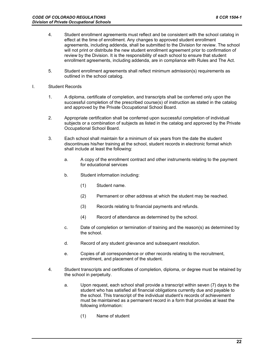- 4. Student enrollment agreements must reflect and be consistent with the school catalog in effect at the time of enrollment. Any changes to approved student enrollment agreements, including addenda, shall be submitted to the Division for review. The school will not print or distribute the new student enrollment agreement prior to confirmation of review by the Division. It is the responsibility of each school to ensure that student enrollment agreements, including addenda, are in compliance with Rules and The Act.
- 5. Student enrollment agreements shall reflect minimum admission(s) requirements as outlined in the school catalog.
- I. Student Records
	- 1. A diploma, certificate of completion, and transcripts shall be conferred only upon the successful completion of the prescribed course(s) of instruction as stated in the catalog and approved by the Private Occupational School Board.
	- 2. Appropriate certification shall be conferred upon successful completion of individual subjects or a combination of subjects as listed in the catalog and approved by the Private Occupational School Board.
	- 3. Each school shall maintain for a minimum of six years from the date the student discontinues his/her training at the school, student records in electronic format which shall include at least the following:
		- a. A copy of the enrollment contract and other instruments relating to the payment for educational services
		- b. Student information including:
			- (1) Student name.
			- (2) Permanent or other address at which the student may be reached.
			- (3) Records relating to financial payments and refunds.
			- (4) Record of attendance as determined by the school.
		- c. Date of completion or termination of training and the reason(s) as determined by the school.
		- d. Record of any student grievance and subsequent resolution.
		- e. Copies of all correspondence or other records relating to the recruitment, enrollment, and placement of the student.
	- 4. Student transcripts and certificates of completion, diploma, or degree must be retained by the school in perpetuity.
		- a. Upon request, each school shall provide a transcript within seven (7) days to the student who has satisfied all financial obligations currently due and payable to the school. This transcript of the individual student's records of achievement must be maintained as a permanent record in a form that provides at least the following information:
			- (1) Name of student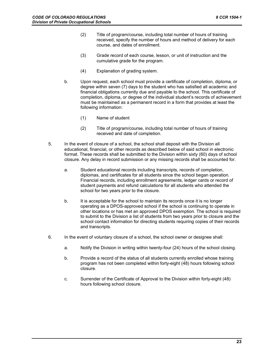- (2) Title of program/course, including total number of hours of training received, specify the number of hours and method of delivery for each course, and dates of enrollment.
- (3) Grade record of each course, lesson, or unit of instruction and the cumulative grade for the program.
- (4) Explanation of grading system.
- b. Upon request, each school must provide a certificate of completion, diploma, or degree within seven (7) days to the student who has satisfied all academic and financial obligations currently due and payable to the school. This certificate of completion, diploma, or degree of the individual student's records of achievement must be maintained as a permanent record in a form that provides at least the following information:
	- (1) Name of student
	- (2) Title of program/course, including total number of hours of training received and date of completion.
- 5. In the event of closure of a school, the school shall deposit with the Division all educational, financial, or other records as described below of said school in electronic format. These records shall be submitted to the Division within sixty (60) days of school closure. Any delay in record submission or any missing records shall be accounted for.
	- a. Student educational records including transcripts, records of completion, diplomas, and certificates for all students since the school began operation. Financial records, including enrollment agreements, ledger cards or record of student payments and refund calculations for all students who attended the school for two years prior to the closure.
	- b. It is acceptable for the school to maintain its records once it is no longer operating as a DPOS-approved school if the school is continuing to operate in other locations or has met an approved DPOS exemption. The school is required to submit to the Division a list of students from two years prior to closure and the school contact information for directing students requiring copies of their records and transcripts.
- 6. In the event of voluntary closure of a school, the school owner or designee shall:
	- a. Notify the Division in writing within twenty-four (24) hours of the school closing.
	- b. Provide a record of the status of all students currently enrolled whose training program has not been completed within forty-eight (48) hours following school closure.
	- c. Surrender of the Certificate of Approval to the Division within forty-eight (48) hours following school closure.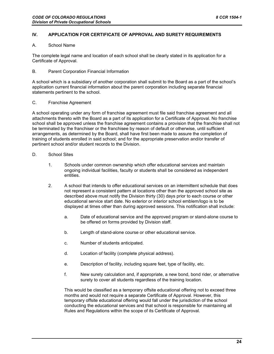#### **IV. APPLICATION FOR CERTIFICATE OF APPROVAL AND SURETY REQUIREMENTS**

#### A. School Name

The complete legal name and location of each school shall be clearly stated in its application for a Certificate of Approval.

#### B. Parent Corporation Financial Information

A school which is a subsidiary of another corporation shall submit to the Board as a part of the school's application current financial information about the parent corporation including separate financial statements pertinent to the school.

#### C. Franchise Agreement

A school operating under any form of franchise agreement must file said franchise agreement and all attachments thereto with the Board as a part of its application for a Certificate of Approval. No franchise school shall be approved unless the franchise agreement contains a provision that the franchise shall not be terminated by the franchiser or the franchisee by reason of default or otherwise, until sufficient arrangements, as determined by the Board, shall have first been made to assure the completion of training of students enrolled in said school; and for the appropriate preservation and/or transfer of pertinent school and/or student records to the Division.

#### D. School Sites

- 1. Schools under common ownership which offer educational services and maintain ongoing individual facilities, faculty or students shall be considered as independent entities.
- 2. A school that intends to offer educational services on an intermittent schedule that does not represent a consistent pattern at locations other than the approved school site as described above must notify the Division thirty (30) days prior to each course or other educational service start date. No exterior or interior school emblem/logo is to be displayed at times other than during approved sessions. This notification shall include:
	- a. Date of educational service and the approved program or stand-alone course to be offered on forms provided by Division staff.
	- b. Length of stand-alone course or other educational service.
	- c. Number of students anticipated.
	- d. Location of facility (complete physical address).
	- e. Description of facility, including square feet, type of facility, etc.
	- f. New surety calculation and, if appropriate, a new bond, bond rider, or alternative surety to cover all students regardless of the training location.

This would be classified as a temporary offsite educational offering not to exceed three months and would not require a separate Certificate of Approval. However, this temporary offsite educational offering would fall under the jurisdiction of the school conducting the educational services and that school is responsible for maintaining all Rules and Regulations within the scope of its Certificate of Approval.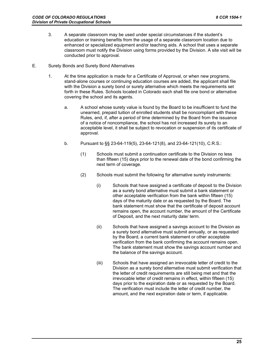- 3. A separate classroom may be used under special circumstances if the student's education or training benefits from the usage of a separate classroom location due to enhanced or specialized equipment and/or teaching aids. A school that uses a separate classroom must notify the Division using forms provided by the Division. A site visit will be conducted prior to approval.
- E. Surety Bonds and Surety Bond Alternatives
	- 1. At the time application is made for a Certificate of Approval, or when new programs, stand-alone courses or continuing education courses are added, the applicant shall file with the Division a surety bond or surety alternative which meets the requirements set forth in these Rules. Schools located in Colorado each shall file one bond or alternative covering the school and its agents.
		- a. A school whose surety value is found by the Board to be insufficient to fund the unearned, prepaid tuition of enrolled students shall be noncompliant with these Rules, and, if, after a period of time determined by the Board from the issuance of a notice of noncompliance, the school has not increased its surety to an acceptable level, it shall be subject to revocation or suspension of its certificate of approval.
		- b. Pursuant to §§ 23-64-119(5), 23-64-121(8), and 23-64-121(10), C.R.S.:
			- (1) Schools must submit a continuation certificate to the Division no less than fifteen (15) days prior to the renewal date of the bond confirming the next term of coverage.
			- (2) Schools must submit the following for alternative surety instruments:
				- (i) Schools that have assigned a certificate of deposit to the Division as a surety bond alternative must submit a bank statement or other acceptable verification from the bank within fifteen (15) days of the maturity date or as requested by the Board. The bank statement must show that the certificate of deposit account remains open, the account number, the amount of the Certificate of Deposit, and the next maturity date/ term.
				- (ii) Schools that have assigned a savings account to the Division as a surety bond alternative must submit annually, or as requested by the Board, a current bank statement or other acceptable verification from the bank confirming the account remains open. The bank statement must show the savings account number and the balance of the savings account.
				- (iii) Schools that have assigned an irrevocable letter of credit to the Division as a surety bond alternative must submit verification that the letter of credit requirements are still being met and that the irrevocable letter of credit remains in effect, within fifteen (15) days prior to the expiration date or as requested by the Board. The verification must include the letter of credit number, the amount, and the next expiration date or term, if applicable.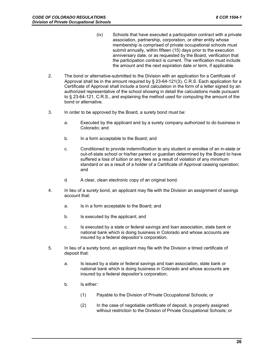- (iv) Schools that have executed a participation contract with a private association, partnership, corporation, or other entity whose membership is comprised of private occupational schools must submit annually, within fifteen (15) days prior to the execution anniversary date, or as requested by the Board, verification that the participation contract is current. The verification must include the amount and the next expiration date or term, if applicable.
- 2. The bond or alternative-submitted to the Division with an application for a Certificate of Approval shall be in the amount required by § 23-64-121(3), C.R.S. Each application for a Certificate of Approval shall include a bond calculation in the form of a letter signed by an authorized representative of the school showing in detail the calculations made pursuant to § 23-64-121, C.R.S., and explaining the method used for computing the amount of the bond or alternative.
- 3. In order to be approved by the Board, a surety bond must be:
	- a. Executed by the applicant and by a surety company authorized to do business in Colorado; and
	- b. In a form acceptable to the Board; and
	- c. Conditioned to provide indemnification to any student or enrollee of an in-state or out-of-state school or his/her parent or guardian determined by the Board to have suffered a loss of tuition or any fees as a result of violation of any minimum standard or as a result of a holder of a Certificate of Approval ceasing operation; and
	- d. A clear, clean electronic copy of an original bond.
- 4. In lieu of a surety bond, an applicant may file with the Division an assignment of savings account that:
	- a. Is in a form acceptable to the Board; and
	- b. Is executed by the applicant; and
	- c. Is executed by a state or federal savings and loan association, state bank or national bank which is doing business in Colorado and whose accounts are insured by a federal depositor's corporation.
- 5. In lieu of a surety bond, an applicant may file with the Division a timed certificate of deposit that:
	- a. Is issued by a state or federal savings and loan association, state bank or national bank which is doing business in Colorado and whose accounts are insured by a federal depositor's corporation;
	- b. Is either:
		- (1) Payable to the Division of Private Occupational Schools; or
		- (2) In the case of negotiable certificate of deposit, is properly assigned without restriction to the Division of Private Occupational Schools; or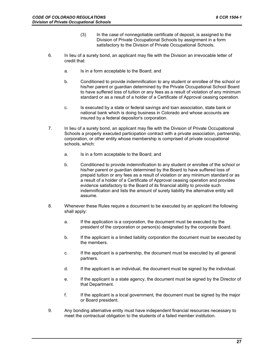- (3) In the case of nonnegotiable certificate of deposit, is assigned to the Division of Private Occupational Schools by assignment in a form satisfactory to the Division of Private Occupational Schools.
- 6. In lieu of a surety bond, an applicant may file with the Division an irrevocable letter of credit that:
	- a. Is in a form acceptable to the Board; and
	- b. Conditioned to provide indemnification to any student or enrollee of the school or his/her parent or guardian determined by the Private Occupational School Board to have suffered loss of tuition or any fees as a result of violation of any minimum standard or as a result of a holder of a Certificate of Approval ceasing operation.
	- c. Is executed by a state or federal savings and loan association, state bank or national bank which is doing business in Colorado and whose accounts are insured by a federal depositor's corporation.
- 7. In lieu of a surety bond, an applicant may file with the Division of Private Occupational Schools a properly executed participation contract with a private association, partnership, corporation, or other entity whose membership is comprised of private occupational schools, which:
	- a. Is in a form acceptable to the Board; and
	- b. Conditioned to provide indemnification to any student or enrollee of the school or his/her parent or guardian determined by the Board to have suffered loss of prepaid tuition or any fees as a result of violation or any minimum standard or as a result of a holder of a Certificate of Approval ceasing operation and provides evidence satisfactory to the Board of its financial ability to provide such indemnification and lists the amount of surety liability the alternative entity will assume.
- 8. Whenever these Rules require a document to be executed by an applicant the following shall apply:
	- a. If the application is a corporation, the document must be executed by the president of the corporation or person(s) designated by the corporate Board.
	- b. If the applicant is a limited liability corporation the document must be executed by the members.
	- c. If the applicant is a partnership, the document must be executed by all general partners.
	- d. If the applicant is an individual, the document must be signed by the individual.
	- e. If the applicant is a state agency, the document must be signed by the Director of that Department.
	- f. If the applicant is a local government, the document must be signed by the major or Board president.
- 9. Any bonding alternative entity must have independent financial resources necessary to meet the contractual obligation to the students of a failed member institution.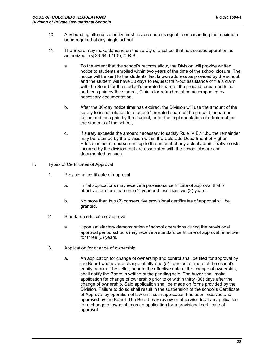- 10. Any bonding alternative entity must have resources equal to or exceeding the maximum bond required of any single school.
- 11. The Board may make demand on the surety of a school that has ceased operation as authorized in § 23-64-121(5), C.R.S.
	- a. To the extent that the school's records allow, the Division will provide written notice to students enrolled within two years of the time of the school closure. The notice will be sent to the students' last known address as provided by the school, and the student will have 30 days to request train-out assistance or file a claim with the Board for the student's prorated share of the prepaid, unearned tuition and fees paid by the student, Claims for refund must be accompanied by necessary documentation.
	- b. After the 30-day notice time has expired, the Division will use the amount of the surety to issue refunds for students' prorated share of the prepaid, unearned tuition and fees paid by the student, or for the implementation of a train-out for the students of the school,
	- c. If surety exceeds the amount necessary to satisfy Rule IV.E.11.b., the remainder may be retained by the Division within the Colorado Department of Higher Education as reimbursement up to the amount of any actual administrative costs incurred by the division that are associated with the school closure and documented as such.
- F. Types of Certificates of Approval
	- 1. Provisional certificate of approval
		- a. Initial applications may receive a provisional certificate of approval that is effective for more than one (1) year and less than two (2) years.
		- b. No more than two (2) consecutive provisional certificates of approval will be granted.
	- 2. Standard certificate of approval
		- a. Upon satisfactory demonstration of school operations during the provisional approval period schools may receive a standard certificate of approval, effective for three (3) years.
	- 3. Application for change of ownership
		- a. An application for change of ownership and control shall be filed for approval by the Board whenever a change of fifty-one (51) percent or more of the school's equity occurs. The seller, prior to the effective date of the change of ownership, shall notify the Board in writing of the pending sale. The buyer shall make application for change of ownership prior to or within thirty (30) days after the change of ownership. Said application shall be made on forms provided by the Division. Failure to do so shall result in the suspension of the school's Certificate of Approval by operation of law until such application has been received and approved by the Board. The Board may review or otherwise treat an application for a change of ownership as an application for a provisional certificate of approval.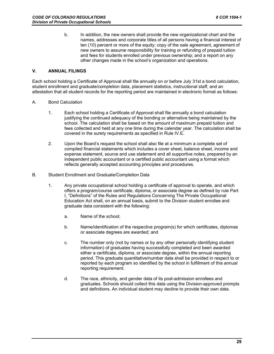b. In addition, the new owners shall provide the new organizational chart and the names, addresses and corporate titles of all persons having a financial interest of ten (10) percent or more of the equity; copy of the sale agreement, agreement of new owners to assume responsibility for training or refunding of prepaid tuition and fees for students enrolled under previous ownership; and a report on any other changes made in the school's organization and operations.

#### **V. ANNUAL FILINGS**

Each school holding a Certificate of Approval shall file annually on or before July 31st a bond calculation, student enrollment and graduate/completion data, placement statistics, instructional staff, and an attestation that all student records for the reporting period are maintained in electronic format as follows:

- A. Bond Calculation
	- 1. Each school holding a Certificate of Approval shall file annually a bond calculation justifying the continued adequacy of the bonding or alternative being maintained by the school. The calculation shall be based on the amount of maximum prepaid tuition and fees collected and held at any one time during the calendar year. The calculation shall be covered in the surety requirements as specified in Rule IV.E.
	- 2. Upon the Board's request the school shall also file at a minimum a complete set of compiled financial statements which includes a cover sheet, balance sheet, income and expense statement, source and use statement and all supportive notes, prepared by an independent public accountant or a certified public accountant using a format which reflects generally accepted accounting principles and procedures.
- B. Student Enrollment and Graduate/Completion Data
	- 1. Any private occupational school holding a certificate of approval to operate, and which offers a program/course certificate, diploma, or associate degree as defined by rule Part I, "Definitions" of the Rules and Regulations Concerning The Private Occupational Education Act shall, on an annual basis, submit to the Division student enrollee and graduate data consistent with the following:
		- a. Name of the school;
		- b. Name/identification of the respective program(s) for which certificates, diplomas or associate degrees are awarded; and
		- c. The number only (not by names or by any other personally identifying student information) of graduates having successfully completed and been awarded either a certificate, diploma, or associate degree, within the annual reporting period. This graduate quantitative/number data shall be provided in respect to or reported by each program so identified by the school in fulfillment of this annual reporting requirement.
		- d. The race, ethnicity, and gender data of its post-admission enrollees and graduates. Schools should collect this data using the Division-approved prompts and definitions. An individual student may decline to provide their own data.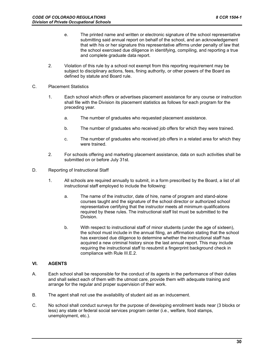- e. The printed name and written or electronic signature of the school representative submitting said annual report on behalf of the school, and an acknowledgement that with his or her signature this representative affirms under penalty of law that the school exercised due diligence in identifying, compiling, and reporting a true and complete graduate data report.
- 2. Violation of this rule by a school not exempt from this reporting requirement may be subject to disciplinary actions, fees, fining authority, or other powers of the Board as defined by statute and Board rule.
- C. Placement Statistics
	- 1. Each school which offers or advertises placement assistance for any course or instruction shall file with the Division its placement statistics as follows for each program for the preceding year.
		- a. The number of graduates who requested placement assistance.
		- b. The number of graduates who received job offers for which they were trained.
		- c. The number of graduates who received job offers in a related area for which they were trained.
	- 2. For schools offering and marketing placement assistance, data on such activities shall be submitted on or before July 31st.
- D. Reporting of Instructional Staff
	- 1. All schools are required annually to submit, in a form prescribed by the Board, a list of all instructional staff employed to include the following:
		- a. The name of the instructor, date of hire, name of program and stand-alone courses taught and the signature of the school director or authorized school representative certifying that the instructor meets all minimum qualifications required by these rules. The instructional staff list must be submitted to the Division.
		- b. With respect to instructional staff of minor students (under the age of sixteen), the school must include in the annual filing, an affirmation stating that the school has exercised due diligence to determine whether the instructional staff has acquired a new criminal history since the last annual report. This may include requiring the instructional staff to resubmit a fingerprint background check in compliance with Rule III.E.2.

#### **VI. AGENTS**

- A. Each school shall be responsible for the conduct of its agents in the performance of their duties and shall select each of them with the utmost care, provide them with adequate training and arrange for the regular and proper supervision of their work.
- B. The agent shall not use the availability of student aid as an inducement.
- C. No school shall conduct surveys for the purpose of developing enrollment leads near (3 blocks or less) any state or federal social services program center (i.e., welfare, food stamps, unemployment, etc.).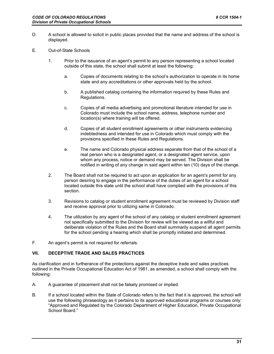- D. A school is allowed to solicit in public places provided that the name and address of the school is displayed.
- E. Out-of-State Schools
	- 1. Prior to the issuance of an agent's permit to any person representing a school located outside of this state, the school shall submit at least the following:
		- a. Copies of documents relating to the school's authorization to operate in its home state and any accreditations or other approvals held by the school.
		- b. A published catalog containing the information required by these Rules and Regulations.
		- c. Copies of all media advertising and promotional literature intended for use in Colorado must include the school name, address, telephone number and location(s) where training will be offered.
		- d. Copies of all student enrollment agreements or other instruments evidencing indebtedness and intended for use in Colorado which must comply with the provisions specified in these Rules and Regulations.
		- e. The name and Colorado physical address separate from that of the school of a real person who is a designated agent, or a designated agent service, upon whom any process, notice or demand may be served. The Division shall be notified in writing of any change in said agent within ten (10) days of the change.
	- 2. The Board shall not be required to act upon an application for an agent's permit for any person desiring to engage in the performance of the duties of an agent for a school located outside this state until the school shall have complied with the provisions of this section.
	- 3. Revisions to catalog or student enrollment agreement must be reviewed by Division staff and receive approval prior to utilizing same in Colorado.
	- 4. The utilization by any agent of the school of any catalog or student enrollment agreement not specifically submitted to the Division for review will be viewed as a willful and deliberate violation of the Rules and the Board shall summarily suspend all agent permits for the school pending a hearing which shall be promptly initiated and determined.
- F. An agent's permit is not required for referrals.

#### **VII. DECEPTIVE TRADE AND SALES PRACTICES**

As clarification and in furtherance of the protections against the deceptive trade and sales practices outlined in the Private Occupational Education Act of 1981, as amended, a school shall comply with the following:

- A. A guarantee of placement shall not be falsely promised or implied.
- B. If a school located within the State of Colorado refers to the fact that it is approved, the school will use the following phraseology as it pertains to its approved educational programs or courses only: "Approved and Regulated by the Colorado Department of Higher Education, Private Occupational School Board."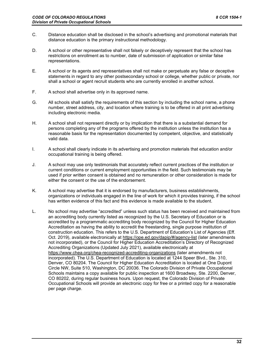- C. Distance education shall be disclosed in the school's advertising and promotional materials that distance education is the primary instructional methodology.
- D. A school or other representative shall not falsely or deceptively represent that the school has restrictions on enrollment as to number, date of submission of application or similar false representations.
- E. A school or its agents and representatives shall not make or perpetuate any false or deceptive statements in regard to any other postsecondary school or college, whether public or private, nor shall a school or agent recruit students who are currently enrolled in another school.
- F. A school shall advertise only in its approved name.
- G. All schools shall satisfy the requirements of this section by including the school name, a phone number, street address, city, and location where training is to be offered in all print advertising including electronic media.
- H. A school shall not represent directly or by implication that there is a substantial demand for persons completing any of the programs offered by the institution unless the institution has a reasonable basis for the representation documented by competent, objective, and statistically valid data.
- I. A school shall clearly indicate in its advertising and promotion materials that education and/or occupational training is being offered.
- J. A school may use only testimonials that accurately reflect current practices of the institution or current conditions or current employment opportunities in the field. Such testimonials may be used if prior written consent is obtained and no remuneration or other consideration is made for either the consent or the use of the endorsement.
- K. A school may advertise that it is endorsed by manufacturers, business establishments, organizations or individuals engaged in the line of work for which it provides training, if the school has written evidence of this fact and this evidence is made available to the student.
- L. No school may advertise "accredited" unless such status has been received and maintained from an accrediting body currently listed as recognized by the U.S. Secretary of Education or is accredited by a programmatic accrediting body recognized by the Council for Higher Education Accreditation as having the ability to accredit the freestanding, single purpose institution of construction education. This refers to the U.S. Department of Education's List of Agencies (Eff. Oct. 2019), available electronically at https://ope.ed.gov/dapip/#/agency-list (later amendments not incorporated), or the Council for Higher Education Accreditation's Directory of Recognized Accrediting Organizations (Updated July 2021), available electronically at https://www.chea.org/chea-recognized-accrediting-organizations (later amendments not incorporated). The U.S. Department of Education is located at 1244 Speer Blvd., Ste. 310, Denver, CO 80204. The Council for Higher Education Accreditation is located at One Dupont Circle NW, Suite 510, Washington, DC 20036. The Colorado Division of Private Occupational Schools maintains a copy available for public inspection at 1600 Broadway, Ste. 2200, Denver, CO 80202, during regular business hours. Upon request, the Colorado Division of Private Occupational Schools will provide an electronic copy for free or a printed copy for a reasonable per page charge.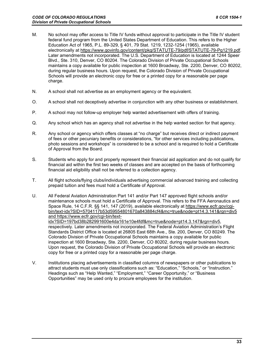- M. No school may offer access to Title IV funds without approval to participate in the Title IV student federal fund program from the United States Department of Education. This refers to the Higher Education Act of 1965, P.L. 89-329, § 401, 79 Stat. 1219, 1232-1254 (1965), available electronically at https://www.govinfo.gov/content/pkg/STATUTE-79/pdf/STATUTE-79-Pg1219.pdf. Later amendments not incorporated. The U.S. Department of Education is located at 1244 Speer Blvd., Ste. 310, Denver, CO 80204. The Colorado Division of Private Occupational Schools maintains a copy available for public inspection at 1600 Broadway, Ste. 2200, Denver, CO 80202, during regular business hours. Upon request, the Colorado Division of Private Occupational Schools will provide an electronic copy for free or a printed copy for a reasonable per page charge.
- N. A school shall not advertise as an employment agency or the equivalent.
- O. A school shall not deceptively advertise in conjunction with any other business or establishment.
- P. A school may not follow-up employer help wanted advertisement with offers of training.
- Q. Any school which has an agency shall not advertise in the help wanted section for that agency.
- R. Any school or agency which offers classes at "no charge" but receives direct or indirect payment of fees or other pecuniary benefits or considerations, "for other services including publications, photo sessions and workshops" is considered to be a school and is required to hold a Certificate of Approval from the Board.
- S. Students who apply for and properly represent their financial aid application and do not qualify for financial aid within the first two weeks of classes and are accepted on the basis of forthcoming financial aid eligibility shall not be referred to a collection agency.
- T. All flight schools/flying clubs/individuals advertising commercial advanced training and collecting prepaid tuition and fees must hold a Certificate of Approval.
- U. All Federal Aviation Administration Part 141 and/or Part 147 approved flight schools and/or maintenance schools must hold a Certificate of Approval. This refers to the FFA Aeronautics and Space Rule, 14 C.F.R. §§ 141, 147 (2019), available electronically at https://www.ecfr.gov/cgibin/text-idx?SID=5704117b53d59554801670a843884cf4&mc=true&node=pt14.3.141&rgn=div5 and https://www.ecfr.gov/cgi-bin/text-

idx?SID=197bd38b282991600e4da161e10e4fdf&mc=true&node=pt14.3.147&rgn=div5, respectively. Later amendments not incorporated. The Federal Aviation Administration's Flight Standards District Office is located at 26805 East 68th Ave., Ste. 200, Denver, CO 80249. The Colorado Division of Private Occupational Schools maintains a copy available for public inspection at 1600 Broadway, Ste. 2200, Denver, CO 80202, during regular business hours. Upon request, the Colorado Division of Private Occupational Schools will provide an electronic copy for free or a printed copy for a reasonable per page charge.

V. Institutions placing advertisements in classified columns of newspapers or other publications to attract students must use only classifications such as: "Education," "Schools," or "Instruction." Headings such as "Help Wanted," "Employment," "Career Opportunity," or "Business Opportunities" may be used only to procure employees for the institution.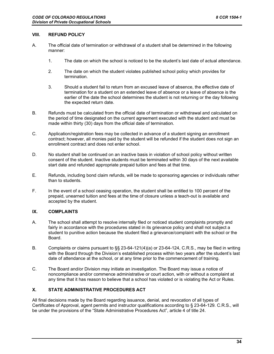#### **VIII. REFUND POLICY**

- A. The official date of termination or withdrawal of a student shall be determined in the following manner:
	- 1. The date on which the school is noticed to be the student's last date of actual attendance.
	- 2. The date on which the student violates published school policy which provides for termination.
	- 3. Should a student fail to return from an excused leave of absence, the effective date of termination for a student on an extended leave of absence or a leave of absence is the earlier of the date the school determines the student is not returning or the day following the expected return date.
- B. Refunds must be calculated from the official date of termination or withdrawal and calculated on the period of time designated on the current agreement executed with the student and must be made within thirty (30) days from the official date of termination.
- C. Application/registration fees may be collected in advance of a student signing an enrollment contract; however, all monies paid by the student will be refunded if the student does not sign an enrollment contract and does not enter school.
- D. No student shall be continued on an inactive basis in violation of school policy without written consent of the student. Inactive students must be terminated within 30 days of the next available start date and refunded appropriate prepaid tuition and fees at that time.
- E. Refunds, including bond claim refunds, will be made to sponsoring agencies or individuals rather than to students.
- F. In the event of a school ceasing operation, the student shall be entitled to 100 percent of the prepaid, unearned tuition and fees at the time of closure unless a teach-out is available and accepted by the student.

#### **IX. COMPLAINTS**

- A. The school shall attempt to resolve internally filed or noticed student complaints promptly and fairly in accordance with the procedures stated in its grievance policy and shall not subject a student to punitive action because the student filed a grievance/complaint with the school or the Board.
- B. Complaints or claims pursuant to §§ 23-64-121(4)(a) or 23-64-124, C.R.S., may be filed in writing with the Board through the Division's established process within two years after the student's last date of attendance at the school, or at any time prior to the commencement of training.
- C. The Board and/or Division may initiate an investigation. The Board may issue a notice of noncompliance and/or commence administrative or court action, with or without a complaint at any time that it has reason to believe that a school has violated or is violating the Act or Rules.

#### **X. STATE ADMINISTRATIVE PROCEDURES ACT**

All final decisions made by the Board regarding issuance, denial, and revocation of all types of Certificates of Approval, agent permits and instructor qualifications according to § 23-64-129. C.R.S., will be under the provisions of the "State Administrative Procedures Act", article 4 of title 24.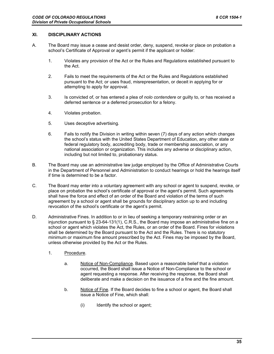#### **XI. DISCIPLINARY ACTIONS**

- A. The Board may issue a cease and desist order, deny, suspend, revoke or place on probation a school's Certificate of Approval or agent's permit if the applicant or holder:
	- 1. Violates any provision of the Act or the Rules and Regulations established pursuant to the Act.
	- 2. Fails to meet the requirements of the Act or the Rules and Regulations established pursuant to the Act; or uses fraud, misrepresentation, or deceit in applying for or attempting to apply for approval.
	- 3. Is convicted of, or has entered a plea of *nolo contendere* or guilty to, or has received a deferred sentence or a deferred prosecution for a felony.
	- 4. Violates probation.
	- 5. Uses deceptive advertising.
	- 6. Fails to notify the Division in writing within seven (7) days of any action which changes the school's status with the United States Department of Education, any other state or federal regulatory body, accrediting body, trade or membership association, or any national association or organization. This includes any adverse or disciplinary action, including but not limited to, probationary status.
- B. The Board may use an administrative law judge employed by the Office of Administrative Courts in the Department of Personnel and Administration to conduct hearings or hold the hearings itself if time is determined to be a factor.
- C. The Board may enter into a voluntary agreement with any school or agent to suspend, revoke, or place on probation the school's certificate of approval or the agent's permit. Such agreements shall have the force and effect of an order of the Board and violation of the terms of such agreement by a school or agent shall be grounds for disciplinary action up to and including revocation of the school's certificate or the agent's permit.
- D. Administrative Fines. In addition to or in lieu of seeking a temporary restraining order or an injunction pursuant to § 23-64-131(1), C.R.S., the Board may impose an administrative fine on a school or agent which violates the Act, the Rules, or an order of the Board. Fines for violations shall be determined by the Board pursuant to the Act and the Rules. There is no statutory minimum or maximum fine amount prescribed by the Act. Fines may be imposed by the Board, unless otherwise provided by the Act or the Rules.
	- 1. Procedure.
		- a. Notice of Non-Compliance. Based upon a reasonable belief that a violation occurred, the Board shall issue a Notice of Non-Compliance to the school or agent requesting a response. After receiving the response, the Board shall deliberate and make a decision on the issuance of a fine and the fine amount.
		- b. Notice of Fine. If the Board decides to fine a school or agent, the Board shall issue a Notice of Fine, which shall:
			- (i) Identify the school or agent;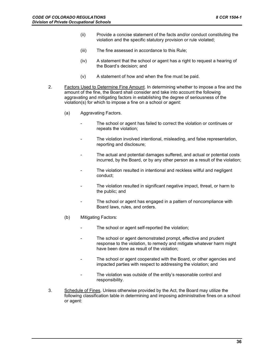- (ii) Provide a concise statement of the facts and/or conduct constituting the violation and the specific statutory provision or rule violated;
- (iii) The fine assessed in accordance to this Rule;
- (iv) A statement that the school or agent has a right to request a hearing of the Board's decision; and
- (v) A statement of how and when the fine must be paid.
- 2. Factors Used to Determine Fine Amount. In determining whether to impose a fine and the amount of the fine, the Board shall consider and take into account the following aggravating and mitigating factors in establishing the degree of seriousness of the violation(s) for which to impose a fine on a school or agent:
	- (a) Aggravating Factors.
		- The school or agent has failed to correct the violation or continues or repeats the violation;
		- The violation involved intentional, misleading, and false representation, reporting and disclosure;
		- The actual and potential damages suffered, and actual or potential costs incurred, by the Board, or by any other person as a result of the violation;
		- The violation resulted in intentional and reckless willful and negligent conduct;
		- The violation resulted in significant negative impact, threat, or harm to the public; and
		- The school or agent has engaged in a pattern of noncompliance with Board laws, rules, and orders.
	- (b) Mitigating Factors:
		- The school or agent self-reported the violation;
		- The school or agent demonstrated prompt, effective and prudent response to the violation, to remedy and mitigate whatever harm might have been done as result of the violation;
		- The school or agent cooperated with the Board, or other agencies and impacted parties with respect to addressing the violation; and
		- The violation was outside of the entity's reasonable control and responsibility.
- 3. Schedule of Fines. Unless otherwise provided by the Act, the Board may utilize the following classification table in determining and imposing administrative fines on a school or agent: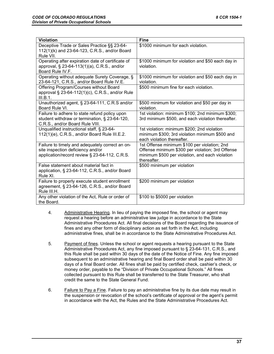| <b>Violation</b>                                                                                                                      | <b>Fine</b>                                                                                                                                                        |
|---------------------------------------------------------------------------------------------------------------------------------------|--------------------------------------------------------------------------------------------------------------------------------------------------------------------|
| Deceptive Trade or Sales Practice §§ 23-64-<br>112(1)(k) and 23-64-123, C.R.S., and/or Board<br>Rule VII.                             | \$1000 minimum for each violation.                                                                                                                                 |
| Operating after expiration date of certificate of<br>approval, § 23-64-113(1)(a), C.R.S., and/or<br>Board Rule IV.F.                  | \$1000 minimum for violation and \$50 each day in<br>violation.                                                                                                    |
| Operating without adequate Surety Coverage, §<br>23-64-121, C.R.S., and/or Board Rule IV.E.                                           | \$1000 minimum for violation and \$50 each day in<br>violation.                                                                                                    |
| Offering Program/Courses without Board<br>approval § 23-64-112(1)(c), C.R.S., and/or Rule<br>III.B.1.                                 | \$500 minimum fine for each violation.                                                                                                                             |
| Unauthorized agent, § 23-64-111, C.R.S and/or<br>Board Rule VI.                                                                       | \$500 minimum for violation and \$50 per day in<br>violation.                                                                                                      |
| Failure to adhere to state refund policy upon<br>student withdraw or termination, § 23-64-120,<br>C.R.S., and/or Board Rule VIII.     | 1st violation: minimum \$100; 2nd minimum \$300;<br>3rd minimum \$500, and each violation thereafter.                                                              |
| Unqualified instructional staff, § 23-64-<br>112(1)(e), C.R.S., and/or Board Rule III.E.2.                                            | 1st violation: minimum \$200; 2nd violation<br>minimum \$300; 3rd violation minimum \$500 and<br>each violation thereafter.                                        |
| Failure to timely and adequately correct an on-<br>site inspection deficiency and/or<br>application/record review § 23-64-112, C.R.S. | 1st Offense minimum \$100 per violation; 2nd<br>Offense minimum \$300 per violation; 3rd Offense<br>minimum \$500 per violation, and each violation<br>thereafter. |
| False statement about material fact in<br>application, § 23-64-112, C.R.S., and/or Board<br>Rule XI.                                  | \$500 minimum per violation                                                                                                                                        |
| Failure to properly execute student enrollment<br>agreement, § 23-64-126, C.R.S., and/or Board<br>Rule III.H.                         | \$200 minimum per violation                                                                                                                                        |
| Any other violation of the Act, Rule or order of<br>the Board.                                                                        | \$100 to \$5000 per violation                                                                                                                                      |

- 4. Administrative Hearing. In lieu of paying the imposed fine, the school or agent may request a hearing before an administrative law judge in accordance to the State Administrative Procedures Act. All final decisions of the Board regarding the issuance of fines and any other form of disciplinary action as set forth in the Act, including administrative fines, shall be in accordance to the State Administrative Procedures Act.
- 5. Payment of fines. Unless the school or agent requests a hearing pursuant to the State Administrative Procedures Act, any fine imposed pursuant to § 23-64-131, C.R.S., and this Rule shall be paid within 30 days of the date of the Notice of Fine. Any fine imposed subsequent to an administrative hearing and final Board order shall be paid within 30 days of a final Board order. All fines shall be paid by certified check, cashier's check, or money order, payable to the "Division of Private Occupational Schools." All fines collected pursuant to this Rule shall be transferred to the State Treasurer, who shall credit the same to the State General Fund.
- 6. Failure to Pay a Fine. Failure to pay an administrative fine by its due date may result in the suspension or revocation of the school's certificate of approval or the agent's permit in accordance with the Act, the Rules and the State Administrative Procedures Act.